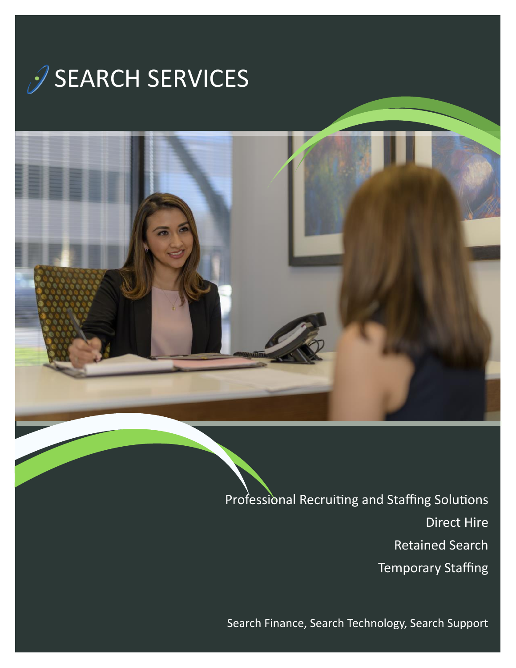



Professional Recruiting and Staffing Solutions Direct Hire Retained Search Temporary Staffing

Search Finance, Search Technology, Search Support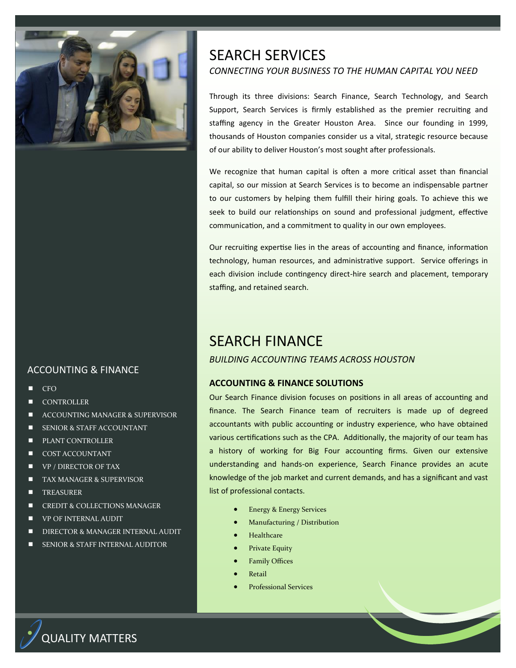

# ACCOUNTING & FINANCE

- **CFO**
- **CONTROLLER**
- ACCOUNTING MANAGER & SUPERVISOR
- SENIOR & STAFF ACCOUNTANT
- PLANT CONTROLLER
- COST ACCOUNTANT
- **VP** / DIRECTOR OF TAX
- **TAX MANAGER & SUPERVISOR**
- **TREASURER**
- CREDIT & COLLECTIONS MANAGER
- VP OF INTERNAL AUDIT
- **DIRECTOR & MANAGER INTERNAL AUDIT**
- SENIOR & STAFF INTERNAL AUDITOR

# SEARCH SERVICES *CONNECTING YOUR BUSINESS TO THE HUMAN CAPITAL YOU NEED*

Through its three divisions: Search Finance, Search Technology, and Search Support, Search Services is firmly established as the premier recruiting and staffing agency in the Greater Houston Area. Since our founding in 1999, thousands of Houston companies consider us a vital, strategic resource because of our ability to deliver Houston's most sought after professionals.

We recognize that human capital is often a more critical asset than financial capital, so our mission at Search Services is to become an indispensable partner to our customers by helping them fulfill their hiring goals. To achieve this we seek to build our relationships on sound and professional judgment, effective communication, and a commitment to quality in our own employees.

Our recruiting expertise lies in the areas of accounting and finance, information technology, human resources, and administrative support. Service offerings in each division include contingency direct-hire search and placement, temporary staffing, and retained search.

# SEARCH FINANCE

## *BUILDING ACCOUNTING TEAMS ACROSS HOUSTON*

## **ACCOUNTING & FINANCE SOLUTIONS**

Our Search Finance division focuses on positions in all areas of accounting and finance. The Search Finance team of recruiters is made up of degreed accountants with public accounting or industry experience, who have obtained various certifications such as the CPA. Additionally, the majority of our team has a history of working for Big Four accounting firms. Given our extensive understanding and hands-on experience, Search Finance provides an acute knowledge of the job market and current demands, and has a significant and vast list of professional contacts.

- Energy & Energy Services
- Manufacturing / Distribution
- **Healthcare**
- Private Equity
- **Family Offices**
- **Retail**
- Professional Services

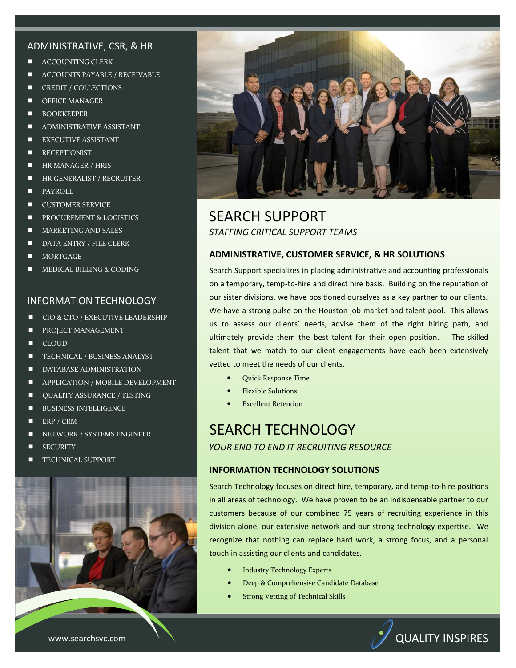### ADMINISTRATIVE, CSR, & HR

- ACCOUNTING CLERK
- ACCOUNTS PAYABLE / RECEIVABLE
- CREDIT / COLLECTIONS
- OFFICE MANAGER
- **BOOKKEEPER**
- ADMINISTRATIVE ASSISTANT
- **EXECUTIVE ASSISTANT**
- **RECEPTIONIST**
- **HR MANAGER / HRIS**
- **HR GENERALIST / RECRUITER**
- PAYROLL
- **CUSTOMER SERVICE**
- **PROCUREMENT & LOGISTICS**
- **MARKETING AND SALES**
- DATA ENTRY / FILE CLERK
- MORTGAGE
- MEDICAL BILLING & CODING

#### INFORMATION TECHNOLOGY

- CIO & CTO / EXECUTIVE LEADERSHIP
- **PROJECT MANAGEMENT**
- **CLOUD**
- **TECHNICAL / BUSINESS ANALYST**
- **DATABASE ADMINISTRATION**
- **APPLICATION / MOBILE DEVELOPMENT**
- **UALITY ASSURANCE / TESTING**
- **BUSINESS INTELLIGENCE**
- $\blacksquare$  ERP / CRM
- NETWORK / SYSTEMS ENGINEER
- **SECURITY**
- **TECHNICAL SUPPORT**





# SEARCH SUPPORT *STAFFING CRITICAL SUPPORT TEAMS*

#### **ADMINISTRATIVE, CUSTOMER SERVICE, & HR SOLUTIONS**

Search Support specializes in placing administrative and accounting professionals on a temporary, temp-to-hire and direct hire basis. Building on the reputation of our sister divisions, we have positioned ourselves as a key partner to our clients. We have a strong pulse on the Houston job market and talent pool. This allows us to assess our clients' needs, advise them of the right hiring path, and ultimately provide them the best talent for their open position. The skilled talent that we match to our client engagements have each been extensively vetted to meet the needs of our clients.

- Quick Response Time
- Flexible Solutions
- **Excellent Retention**

# SEARCH TECHNOLOGY *YOUR END TO END IT RECRUITING RESOURCE*

### **INFORMATION TECHNOLOGY SOLUTIONS**

Search Technology focuses on direct hire, temporary, and temp-to-hire positions in all areas of technology. We have proven to be an indispensable partner to our customers because of our combined 75 years of recruiting experience in this division alone, our extensive network and our strong technology expertise. We recognize that nothing can replace hard work, a strong focus, and a personal touch in assisting our clients and candidates.

- Industry Technology Experts
- Deep & Comprehensive Candidate Database
- Strong Vetting of Technical Skills